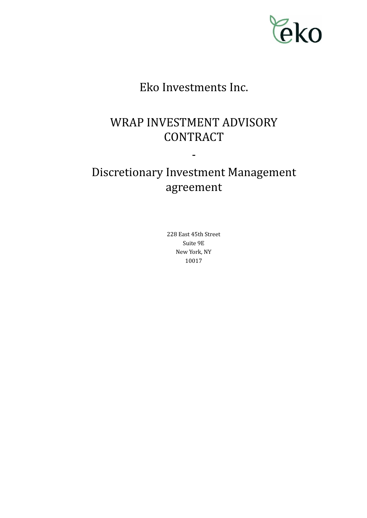

# Eko Investments Inc.

# WRAP INVESTMENT ADVISORY **CONTRACT**

# Discretionary Investment Management agreement

-

228 East 45th Street Suite 9E New York, NY 10017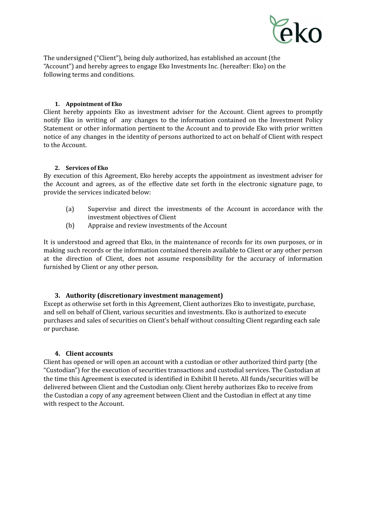

The undersigned ("Client"), being duly authorized, has established an account (the "Account") and hereby agrees to engage Eko Investments Inc. (hereafter: Eko) on the following terms and conditions.

# **1. Appointment of Eko**

Client hereby appoints Eko as investment adviser for the Account. Client agrees to promptly notify Eko in writing of any changes to the information contained on the Investment Policy Statement or other information pertinent to the Account and to provide Eko with prior written notice of any changes in the identity of persons authorized to act on behalf of Client with respect to the Account.

# **2. Services of Eko**

By execution of this Agreement, Eko hereby accepts the appointment as investment adviser for the Account and agrees, as of the effective date set forth in the electronic signature page, to provide the services indicated below:

- (a) Supervise and direct the investments of the Account in accordance with the investment objectives of Client
- (b) Appraise and review investments of the Account

It is understood and agreed that Eko, in the maintenance of records for its own purposes, or in making such records or the information contained therein available to Client or any other person at the direction of Client, does not assume responsibility for the accuracy of information furnished by Client or any other person.

# **3. Authority (discretionary investment management)**

Except as otherwise set forth in this Agreement, Client authorizes Eko to investigate, purchase, and sell on behalf of Client, various securities and investments. Eko is authorized to execute purchases and sales of securities on Client's behalf without consulting Client regarding each sale or purchase.

# **4. Client accounts**

Client has opened or will open an account with a custodian or other authorized third party (the "Custodian") for the execution of securities transactions and custodial services. The Custodian at the time this Agreement is executed is identified in Exhibit II hereto. All funds/securities will be delivered between Client and the Custodian only. Client hereby authorizes Eko to receive from the Custodian a copy of any agreement between Client and the Custodian in effect at any time with respect to the Account.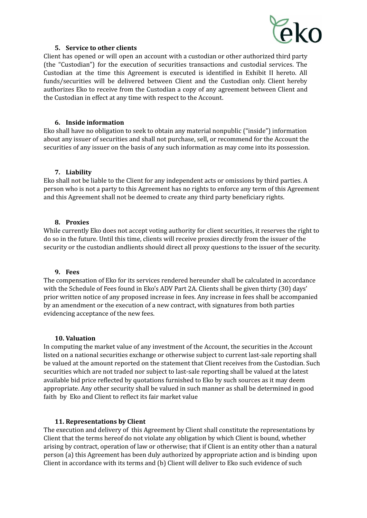

# **5. Service to other clients**

Client has opened or will open an account with a custodian or other authorized third party (the "Custodian") for the execution of securities transactions and custodial services. The Custodian at the time this Agreement is executed is identified in Exhibit II hereto. All funds/securities will be delivered between Client and the Custodian only. Client hereby authorizes Eko to receive from the Custodian a copy of any agreement between Client and the Custodian in effect at any time with respect to the Account.

# **6. Inside information**

Eko shall have no obligation to seek to obtain any material nonpublic ("inside") information about any issuer of securities and shall not purchase, sell, or recommend for the Account the securities of any issuer on the basis of any such information as may come into its possession.

## **7. Liability**

Eko shall not be liable to the Client for any independent acts or omissions by third parties. A person who is not a party to this Agreement has no rights to enforce any term of this Agreement and this Agreement shall not be deemed to create any third party beneficiary rights.

## **8. Proxies**

While currently Eko does not accept voting authority for client securities, it reserves the right to do so in the future. Until this time, clients will receive proxies directly from the issuer of the security or the custodian andlients should direct all proxy questions to the issuer of the security.

#### **9. Fees**

The compensation of Eko for its services rendered hereunder shall be calculated in accordance with the Schedule of Fees found in Eko's ADV Part 2A. Clients shall be given thirty (30) days' prior written notice of any proposed increase in fees. Any increase in fees shall be accompanied by an amendment or the execution of a new contract, with signatures from both parties evidencing acceptance of the new fees.

#### **10. Valuation**

In computing the market value of any investment of the Account, the securities in the Account listed on a national securities exchange or otherwise subject to current last-sale reporting shall be valued at the amount reported on the statement that Client receives from the Custodian. Such securities which are not traded nor subject to last-sale reporting shall be valued at the latest available bid price reflected by quotations furnished to Eko by such sources as it may deem appropriate. Any other security shall be valued in such manner as shall be determined in good faith by Eko and Client to reflect its fair market value

# **11. Representations by Client**

The execution and delivery of this Agreement by Client shall constitute the representations by Client that the terms hereof do not violate any obligation by which Client is bound, whether arising by contract, operation of law or otherwise; that if Client is an entity other than a natural person (a) this Agreement has been duly authorized by appropriate action and is binding upon Client in accordance with its terms and (b) Client will deliver to Eko such evidence of such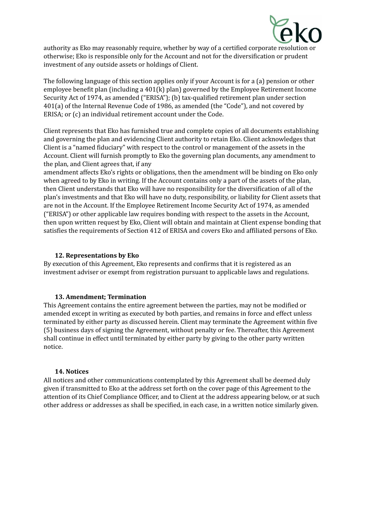

authority as Eko may reasonably require, whether by way of a certified corporate resolution or otherwise; Eko is responsible only for the Account and not for the diversification or prudent investment of any outside assets or holdings of Client.

The following language of this section applies only if your Account is for a (a) pension or other employee benefit plan (including a 401(k) plan) governed by the Employee Retirement Income Security Act of 1974, as amended ("ERISA"); (b) tax-qualified retirement plan under section 401(a) of the Internal Revenue Code of 1986, as amended (the "Code"), and not covered by ERISA; or (c) an individual retirement account under the Code.

Client represents that Eko has furnished true and complete copies of all documents establishing and governing the plan and evidencing Client authority to retain Eko. Client acknowledges that Client is a "named fiduciary" with respect to the control or management of the assets in the Account. Client will furnish promptly to Eko the governing plan documents, any amendment to the plan, and Client agrees that, if any

amendment affects Eko's rights or obligations, then the amendment will be binding on Eko only when agreed to by Eko in writing. If the Account contains only a part of the assets of the plan, then Client understands that Eko will have no responsibility for the diversification of all of the plan's investments and that Eko will have no duty, responsibility, or liability for Client assets that are not in the Account. If the Employee Retirement Income Security Act of 1974, as amended ("ERISA") or other applicable law requires bonding with respect to the assets in the Account, then upon written request by Eko, Client will obtain and maintain at Client expense bonding that satisfies the requirements of Section 412 of ERISA and covers Eko and affiliated persons of Eko.

# **12. Representations by Eko**

By execution of this Agreement, Eko represents and confirms that it is registered as an investment adviser or exempt from registration pursuant to applicable laws and regulations.

# **13. Amendment; Termination**

This Agreement contains the entire agreement between the parties, may not be modified or amended except in writing as executed by both parties, and remains in force and effect unless terminated by either party as discussed herein. Client may terminate the Agreement within five (5) business days of signing the Agreement, without penalty or fee. Thereafter, this Agreement shall continue in effect until terminated by either party by giving to the other party written notice.

#### **14. Notices**

All notices and other communications contemplated by this Agreement shall be deemed duly given if transmitted to Eko at the address set forth on the cover page of this Agreement to the attention of its Chief Compliance Officer, and to Client at the address appearing below, or at such other address or addresses as shall be specified, in each case, in a written notice similarly given.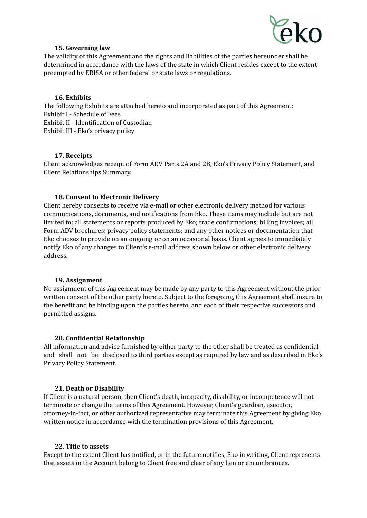

## **15. Governing law**

The validity of this Agreement and the rights and liabilities of the parties hereunder shall be determined in accordance with the laws of the state in which Client resides except to the extent preempted by ERISA or other federal or state laws or regulations.

# **16. Exhibits**

The following Exhibits are attached hereto and incorporated as part of this Agreement: Exhibit I - Schedule of Fees Exhibit II - Identification of Custodian Exhibit III - Eko's privacy policy

## **17. Receipts**

Client acknowledges receipt of Form ADV Parts 2A and 2B, Eko's Privacy Policy Statement, and Client Relationships Summary.

## **18. Consent to Electronic Delivery**

Client hereby consents to receive via e-mail or other electronic delivery method for various communications, documents, and notifications from Eko. These items may include but are not limited to: all statements or reports produced by Eko; trade confirmations; billing invoices; all Form ADV brochures; privacy policy statements; and any other notices or documentation that Eko chooses to provide on an ongoing or on an occasional basis. Client agrees to immediately notify Eko of any changes to Client's e-mail address shown below or other electronic delivery address.

#### **19. Assignment**

No assignment of this Agreement may be made by any party to this Agreement without the prior written consent of the other party hereto. Subject to the foregoing, this Agreement shall insure to the benefit and be binding upon the parties hereto, and each of their respective successors and permitted assigns.

#### **20. Confidential Relationship**

All information and advice furnished by either party to the other shall be treated as confidential and shall not be disclosed to third parties except as required by law and as described in Eko's Privacy Policy Statement.

#### **21. Death or Disability**

If Client is a natural person, then Client's death, incapacity, disability, or incompetence will not terminate or change the terms of this Agreement. However, Client's guardian, executor, attorney-in-fact, or other authorized representative may terminate this Agreement by giving Eko written notice in accordance with the termination provisions of this Agreement.

#### **22. Title to assets**

Except to the extent Client has notified, or in the future notifies, Eko in writing, Client represents that assets in the Account belong to Client free and clear of any lien or encumbrances.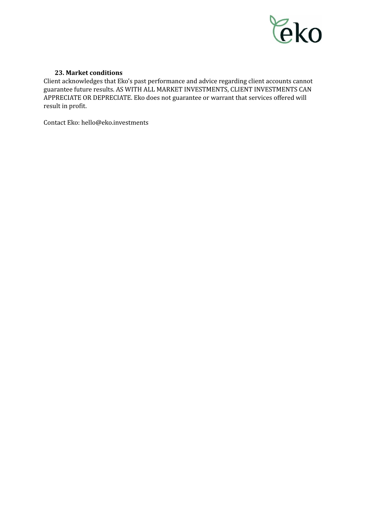

# **23. Market conditions**

Client acknowledges that Eko's past performance and advice regarding client accounts cannot guarantee future results. AS WITH ALL MARKET INVESTMENTS, CLIENT INVESTMENTS CAN APPRECIATE OR DEPRECIATE. Eko does not guarantee or warrant that services offered will result in profit.

Contact Eko: hello@eko.investments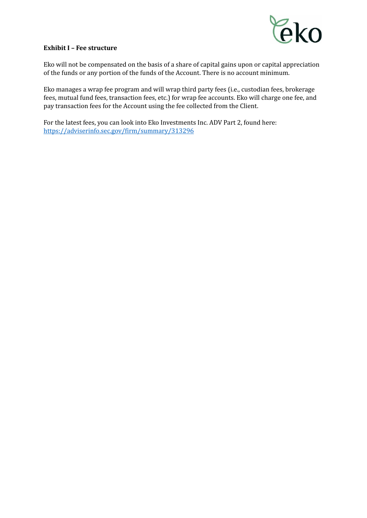

# **Exhibit I – Fee structure**

Eko will not be compensated on the basis of a share of capital gains upon or capital appreciation of the funds or any portion of the funds of the Account. There is no account minimum.

Eko manages a wrap fee program and will wrap third party fees (i.e., custodian fees, brokerage fees, mutual fund fees, transaction fees, etc.) for wrap fee accounts. Eko will charge one fee, and pay transaction fees for the Account using the fee collected from the Client.

For the latest fees, you can look into Eko Investments Inc. ADV Part 2, found here: <https://adviserinfo.sec.gov/firm/summary/313296>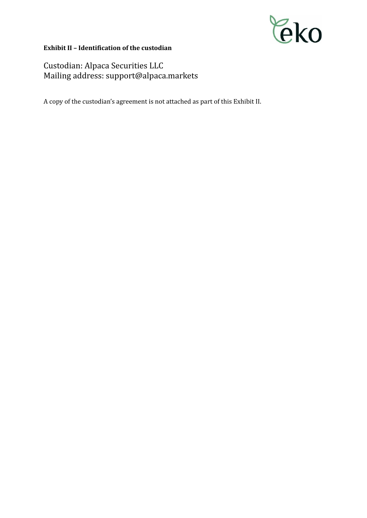

# **Exhibit II – Identification of the custodian**

Custodian: Alpaca Securities LLC Mailing address: support@alpaca.markets

A copy of the custodian's agreement is not attached as part of this Exhibit II.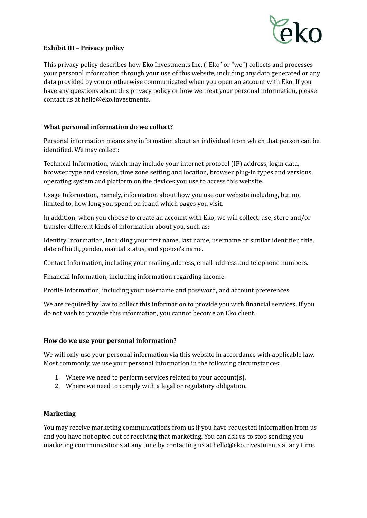

# **Exhibit III – Privacy policy**

This privacy policy describes how Eko Investments Inc. ("Eko" or "we") collects and processes your personal information through your use of this website, including any data generated or any data provided by you or otherwise communicated when you open an account with Eko. If you have any questions about this privacy policy or how we treat your personal information, please contact us at hello@eko.investments.

# **What personal information do we collect?**

Personal information means any information about an individual from which that person can be identified. We may collect:

Technical Information, which may include your internet protocol (IP) address, login data, browser type and version, time zone setting and location, browser plug-in types and versions, operating system and platform on the devices you use to access this website.

Usage Information, namely, information about how you use our website including, but not limited to, how long you spend on it and which pages you visit.

In addition, when you choose to create an account with Eko, we will collect, use, store and/or transfer different kinds of information about you, such as:

Identity Information, including your first name, last name, username or similar identifier, title, date of birth, gender, marital status, and spouse's name.

Contact Information, including your mailing address, email address and telephone numbers.

Financial Information, including information regarding income.

Profile Information, including your username and password, and account preferences.

We are required by law to collect this information to provide you with financial services. If you do not wish to provide this information, you cannot become an Eko client.

#### **How do we use your personal information?**

We will only use your personal information via this website in accordance with applicable law. Most commonly, we use your personal information in the following circumstances:

- 1. Where we need to perform services related to your account(s).
- 2. Where we need to comply with a legal or regulatory obligation.

#### **Marketing**

You may receive marketing communications from us if you have requested information from us and you have not opted out of receiving that marketing. You can ask us to stop sending you marketing communications at any time by contacting us at hello@eko.investments at any time.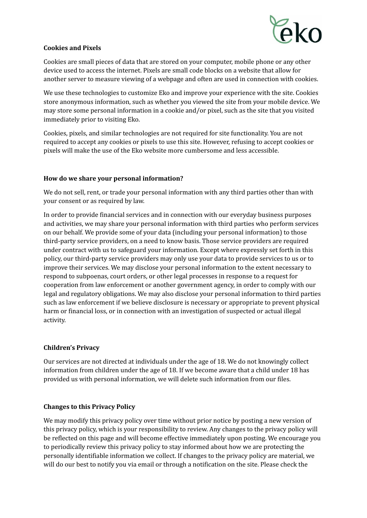

# **Cookies and Pixels**

Cookies are small pieces of data that are stored on your computer, mobile phone or any other device used to access the internet. Pixels are small code blocks on a website that allow for another server to measure viewing of a webpage and often are used in connection with cookies.

We use these technologies to customize Eko and improve your experience with the site. Cookies store anonymous information, such as whether you viewed the site from your mobile device. We may store some personal information in a cookie and/or pixel, such as the site that you visited immediately prior to visiting Eko.

Cookies, pixels, and similar technologies are not required for site functionality. You are not required to accept any cookies or pixels to use this site. However, refusing to accept cookies or pixels will make the use of the Eko website more cumbersome and less accessible.

# **How do we share your personal information?**

We do not sell, rent, or trade your personal information with any third parties other than with your consent or as required by law.

In order to provide financial services and in connection with our everyday business purposes and activities, we may share your personal information with third parties who perform services on our behalf. We provide some of your data (including your personal information) to those third-party service providers, on a need to know basis. Those service providers are required under contract with us to safeguard your information. Except where expressly set forth in this policy, our third-party service providers may only use your data to provide services to us or to improve their services. We may disclose your personal information to the extent necessary to respond to subpoenas, court orders, or other legal processes in response to a request for cooperation from law enforcement or another government agency, in order to comply with our legal and regulatory obligations. We may also disclose your personal information to third parties such as law enforcement if we believe disclosure is necessary or appropriate to prevent physical harm or financial loss, or in connection with an investigation of suspected or actual illegal activity.

# **Children's Privacy**

Our services are not directed at individuals under the age of 18. We do not knowingly collect information from children under the age of 18. If we become aware that a child under 18 has provided us with personal information, we will delete such information from our files.

# **Changes to this Privacy Policy**

We may modify this privacy policy over time without prior notice by posting a new version of this privacy policy, which is your responsibility to review. Any changes to the privacy policy will be reflected on this page and will become effective immediately upon posting. We encourage you to periodically review this privacy policy to stay informed about how we are protecting the personally identifiable information we collect. If changes to the privacy policy are material, we will do our best to notify you via email or through a notification on the site. Please check the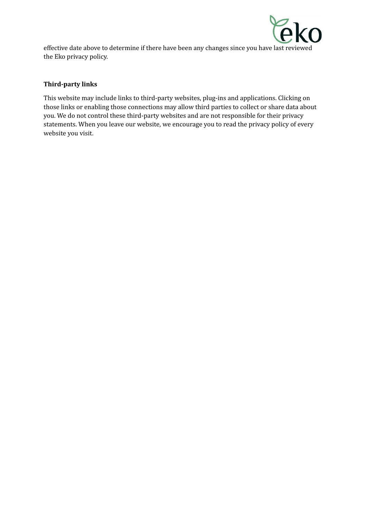

effective date above to determine if there have been any changes since you have last reviewed the Eko privacy policy.

# **Third-party links**

This website may include links to third-party websites, plug-ins and applications. Clicking on those links or enabling those connections may allow third parties to collect or share data about you. We do not control these third-party websites and are not responsible for their privacy statements. When you leave our website, we encourage you to read the privacy policy of every website you visit.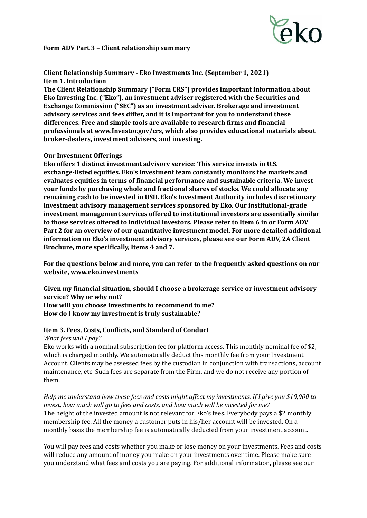

# **Form ADV Part 3 – Client relationship summary**

**Client Relationship Summary - Eko Investments Inc. (September 1, 2021) Item 1. Introduction**

**The Client Relationship Summary ("Form CRS") provides important information about Eko Investing Inc. ("Eko"), an investment adviser registered with the Securities and Exchange Commission ("SEC") as an investment adviser. Brokerage and investment advisory services and fees differ, and it is important for you to understand these differences. Free and simple tools are available to research firms and financial professionals at www.Investor.gov/crs, which also provides educational materials about broker-dealers, investment advisers, and investing.**

## **Our Investment Offerings**

**Eko offers 1 distinct investment advisory service: This service invests in U.S. exchange-listed equities. Eko's investment team constantly monitors the markets and evaluates equities in terms of financial performance and sustainable criteria. We invest your funds by purchasing whole and fractional shares of stocks. We could allocate any remaining cash to be invested in USD. Eko's Investment Authority includes discretionary investment advisory management services sponsored by Eko. Our institutional-grade investment management services offered to institutional investors are essentially similar to those services offered to individual investors. Please refer to Item 6 in or Form ADV Part 2 for an overview of our quantitative investment model. For more detailed additional information on Eko's investment advisory services, please see our Form ADV, 2A Client Brochure, more specifically, Items 4 and 7.**

**For the questions below and more, you can refer to the frequently asked questions on our website, www.eko.investments**

**Given my financial situation, should I choose a brokerage service or investment advisory service? Why or why not? How will you choose investments to recommend to me? How do I know my investment is truly sustainable?**

# **Item 3. Fees, Costs, Conflicts, and Standard of Conduct**

*What fees will I pay?*

Eko works with a nominal subscription fee for platform access. This monthly nominal fee of \$2, which is charged monthly. We automatically deduct this monthly fee from your Investment Account. Clients may be assessed fees by the custodian in conjunction with transactions, account maintenance, etc. Such fees are separate from the Firm, and we do not receive any portion of them.

Help me understand how these fees and costs might affect my investments. If I give you \$10,000 to *invest, how much will go to fees and costs, and how much will be invested for me?* The height of the invested amount is not relevant for Eko's fees. Everybody pays a \$2 monthly membership fee. All the money a customer puts in his/her account will be invested. On a monthly basis the membership fee is automatically deducted from your investment account.

You will pay fees and costs whether you make or lose money on your investments. Fees and costs will reduce any amount of money you make on your investments over time. Please make sure you understand what fees and costs you are paying. For additional information, please see our